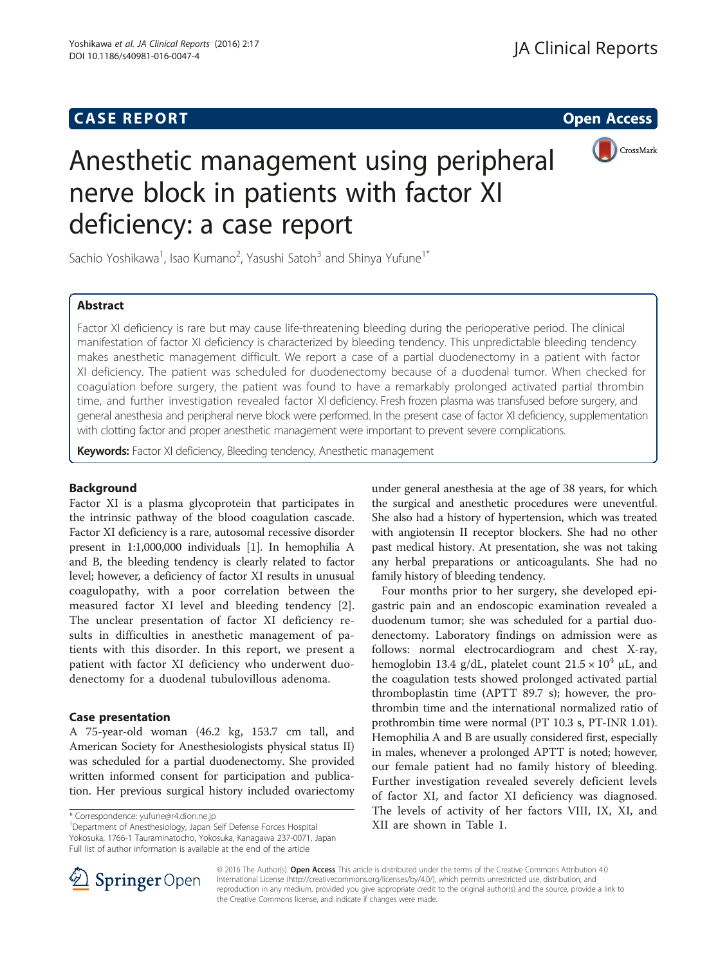## **CASE REPORT CASE REPORT CASE REPORT**



# Anesthetic management using peripheral nerve block in patients with factor XI deficiency: a case report

Sachio Yoshikawa<sup>1</sup>, Isao Kumano<sup>2</sup>, Yasushi Satoh<sup>3</sup> and Shinya Yufune<sup>1\*</sup>

## Abstract

Factor XI deficiency is rare but may cause life-threatening bleeding during the perioperative period. The clinical manifestation of factor XI deficiency is characterized by bleeding tendency. This unpredictable bleeding tendency makes anesthetic management difficult. We report a case of a partial duodenectomy in a patient with factor XI deficiency. The patient was scheduled for duodenectomy because of a duodenal tumor. When checked for coagulation before surgery, the patient was found to have a remarkably prolonged activated partial thrombin time, and further investigation revealed factor XI deficiency. Fresh frozen plasma was transfused before surgery, and general anesthesia and peripheral nerve block were performed. In the present case of factor XI deficiency, supplementation with clotting factor and proper anesthetic management were important to prevent severe complications.

Keywords: Factor XI deficiency, Bleeding tendency, Anesthetic management

## Background

Factor XI is a plasma glycoprotein that participates in the intrinsic pathway of the blood coagulation cascade. Factor XI deficiency is a rare, autosomal recessive disorder present in 1:1,000,000 individuals [\[1](#page-2-0)]. In hemophilia A and B, the bleeding tendency is clearly related to factor level; however, a deficiency of factor XI results in unusual coagulopathy, with a poor correlation between the measured factor XI level and bleeding tendency [\[2](#page-2-0)]. The unclear presentation of factor XI deficiency results in difficulties in anesthetic management of patients with this disorder. In this report, we present a patient with factor XI deficiency who underwent duodenectomy for a duodenal tubulovillous adenoma.

## Case presentation

A 75-year-old woman (46.2 kg, 153.7 cm tall, and American Society for Anesthesiologists physical status II) was scheduled for a partial duodenectomy. She provided written informed consent for participation and publication. Her previous surgical history included ovariectomy

Yokosuka, 1766-1 Tauraminatocho, Yokosuka, Kanagawa 237-0071, Japan Full list of author information is available at the end of the article

under general anesthesia at the age of 38 years, for which the surgical and anesthetic procedures were uneventful. She also had a history of hypertension, which was treated with angiotensin II receptor blockers. She had no other past medical history. At presentation, she was not taking any herbal preparations or anticoagulants. She had no family history of bleeding tendency.

Four months prior to her surgery, she developed epigastric pain and an endoscopic examination revealed a duodenum tumor; she was scheduled for a partial duodenectomy. Laboratory findings on admission were as follows: normal electrocardiogram and chest X-ray, hemoglobin 13.4 g/dL, platelet count  $21.5 \times 10^4$  µL, and the coagulation tests showed prolonged activated partial thromboplastin time (APTT 89.7 s); however, the prothrombin time and the international normalized ratio of prothrombin time were normal (PT 10.3 s, PT-INR 1.01). Hemophilia A and B are usually considered first, especially in males, whenever a prolonged APTT is noted; however, our female patient had no family history of bleeding. Further investigation revealed severely deficient levels of factor XI, and factor XI deficiency was diagnosed. The levels of activity of her factors VIII, IX, XI, and \* Correspondence: [yufune@r4.dion.ne.jp](mailto:yufune@r4.dion.ne.jp)<br>
<sup>1</sup>Department of Anesthesiology, Japan Self Defense Forces Hospital **1.1 XII are shown in Table [1](#page-1-0).** 



© 2016 The Author(s). Open Access This article is distributed under the terms of the Creative Commons Attribution 4.0 International License ([http://creativecommons.org/licenses/by/4.0/\)](http://creativecommons.org/licenses/by/4.0/), which permits unrestricted use, distribution, and reproduction in any medium, provided you give appropriate credit to the original author(s) and the source, provide a link to the Creative Commons license, and indicate if changes were made.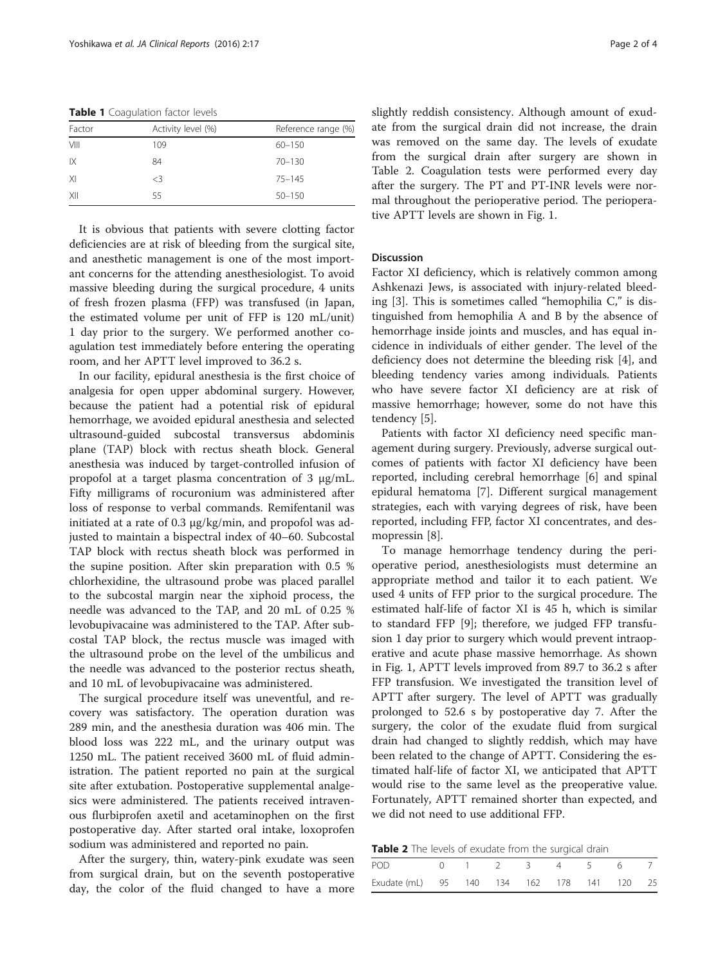<span id="page-1-0"></span>Table 1 Coagulation factor levels

| Factor | Activity level (%) | Reference range (%) |
|--------|--------------------|---------------------|
| VIII   | 109                | $60 - 150$          |
| IX     | 84                 | $70 - 130$          |
| XI     | <3                 | $75 - 145$          |
| XII    | 55                 | $50 - 150$          |

It is obvious that patients with severe clotting factor deficiencies are at risk of bleeding from the surgical site, and anesthetic management is one of the most important concerns for the attending anesthesiologist. To avoid massive bleeding during the surgical procedure, 4 units of fresh frozen plasma (FFP) was transfused (in Japan, the estimated volume per unit of FFP is 120 mL/unit) 1 day prior to the surgery. We performed another coagulation test immediately before entering the operating room, and her APTT level improved to 36.2 s.

In our facility, epidural anesthesia is the first choice of analgesia for open upper abdominal surgery. However, because the patient had a potential risk of epidural hemorrhage, we avoided epidural anesthesia and selected ultrasound-guided subcostal transversus abdominis plane (TAP) block with rectus sheath block. General anesthesia was induced by target-controlled infusion of propofol at a target plasma concentration of 3 μg/mL. Fifty milligrams of rocuronium was administered after loss of response to verbal commands. Remifentanil was initiated at a rate of 0.3 μg/kg/min, and propofol was adjusted to maintain a bispectral index of 40–60. Subcostal TAP block with rectus sheath block was performed in the supine position. After skin preparation with 0.5 % chlorhexidine, the ultrasound probe was placed parallel to the subcostal margin near the xiphoid process, the needle was advanced to the TAP, and 20 mL of 0.25 % levobupivacaine was administered to the TAP. After subcostal TAP block, the rectus muscle was imaged with the ultrasound probe on the level of the umbilicus and the needle was advanced to the posterior rectus sheath, and 10 mL of levobupivacaine was administered.

The surgical procedure itself was uneventful, and recovery was satisfactory. The operation duration was 289 min, and the anesthesia duration was 406 min. The blood loss was 222 mL, and the urinary output was 1250 mL. The patient received 3600 mL of fluid administration. The patient reported no pain at the surgical site after extubation. Postoperative supplemental analgesics were administered. The patients received intravenous flurbiprofen axetil and acetaminophen on the first postoperative day. After started oral intake, loxoprofen sodium was administered and reported no pain.

After the surgery, thin, watery-pink exudate was seen from surgical drain, but on the seventh postoperative day, the color of the fluid changed to have a more slightly reddish consistency. Although amount of exudate from the surgical drain did not increase, the drain was removed on the same day. The levels of exudate from the surgical drain after surgery are shown in Table 2. Coagulation tests were performed every day after the surgery. The PT and PT-INR levels were normal throughout the perioperative period. The perioperative APTT levels are shown in Fig. [1](#page-2-0).

### Discussion

Factor XI deficiency, which is relatively common among Ashkenazi Jews, is associated with injury-related bleeding [\[3](#page-2-0)]. This is sometimes called "hemophilia C," is distinguished from hemophilia A and B by the absence of hemorrhage inside joints and muscles, and has equal incidence in individuals of either gender. The level of the deficiency does not determine the bleeding risk [[4\]](#page-2-0), and bleeding tendency varies among individuals. Patients who have severe factor XI deficiency are at risk of massive hemorrhage; however, some do not have this tendency [[5\]](#page-2-0).

Patients with factor XI deficiency need specific management during surgery. Previously, adverse surgical outcomes of patients with factor XI deficiency have been reported, including cerebral hemorrhage [[6\]](#page-2-0) and spinal epidural hematoma [[7\]](#page-2-0). Different surgical management strategies, each with varying degrees of risk, have been reported, including FFP, factor XI concentrates, and desmopressin [[8\]](#page-3-0).

To manage hemorrhage tendency during the perioperative period, anesthesiologists must determine an appropriate method and tailor it to each patient. We used 4 units of FFP prior to the surgical procedure. The estimated half-life of factor XI is 45 h, which is similar to standard FFP [[9](#page-3-0)]; therefore, we judged FFP transfusion 1 day prior to surgery which would prevent intraoperative and acute phase massive hemorrhage. As shown in Fig. [1](#page-2-0), APTT levels improved from 89.7 to 36.2 s after FFP transfusion. We investigated the transition level of APTT after surgery. The level of APTT was gradually prolonged to 52.6 s by postoperative day 7. After the surgery, the color of the exudate fluid from surgical drain had changed to slightly reddish, which may have been related to the change of APTT. Considering the estimated half-life of factor XI, we anticipated that APTT would rise to the same level as the preoperative value. Fortunately, APTT remained shorter than expected, and we did not need to use additional FFP.

Table 2 The levels of exudate from the surgical drain

| <b>POD</b><br>0 1 2 3 4 5 6 7<br>Exudate (mL) 95 140 134 162 178 141 120 25 |  |  |  |  |  |  |  |  |
|-----------------------------------------------------------------------------|--|--|--|--|--|--|--|--|
|                                                                             |  |  |  |  |  |  |  |  |
|                                                                             |  |  |  |  |  |  |  |  |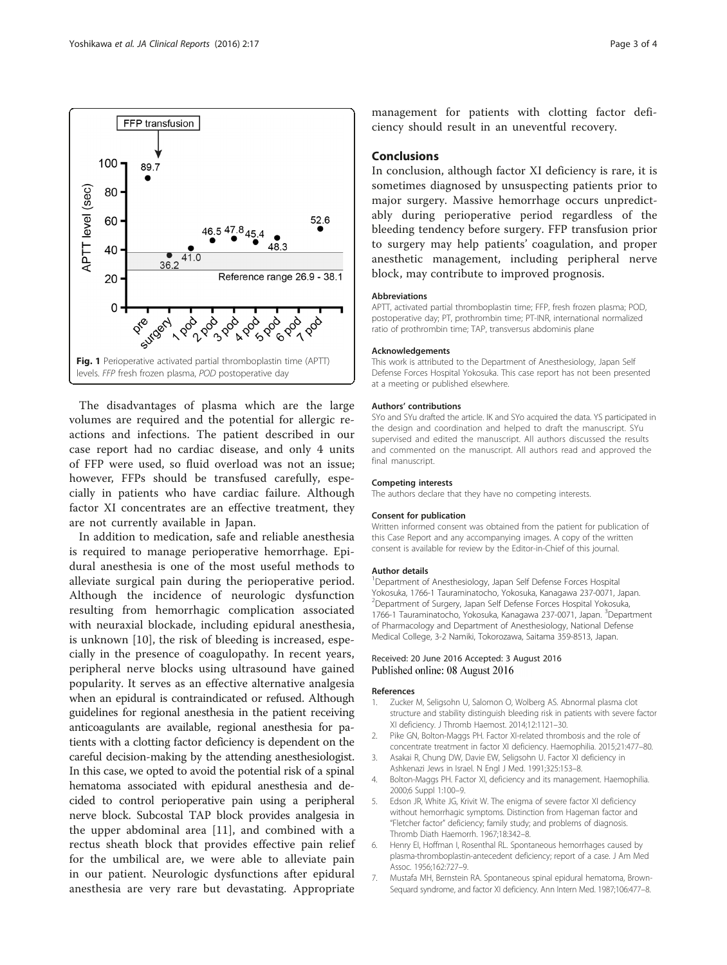The disadvantages of plasma which are the large volumes are required and the potential for allergic reactions and infections. The patient described in our case report had no cardiac disease, and only 4 units of FFP were used, so fluid overload was not an issue; however, FFPs should be transfused carefully, especially in patients who have cardiac failure. Although factor XI concentrates are an effective treatment, they are not currently available in Japan.

In addition to medication, safe and reliable anesthesia is required to manage perioperative hemorrhage. Epidural anesthesia is one of the most useful methods to alleviate surgical pain during the perioperative period. Although the incidence of neurologic dysfunction resulting from hemorrhagic complication associated with neuraxial blockade, including epidural anesthesia, is unknown [[10\]](#page-3-0), the risk of bleeding is increased, especially in the presence of coagulopathy. In recent years, peripheral nerve blocks using ultrasound have gained popularity. It serves as an effective alternative analgesia when an epidural is contraindicated or refused. Although guidelines for regional anesthesia in the patient receiving anticoagulants are available, regional anesthesia for patients with a clotting factor deficiency is dependent on the careful decision-making by the attending anesthesiologist. In this case, we opted to avoid the potential risk of a spinal hematoma associated with epidural anesthesia and decided to control perioperative pain using a peripheral nerve block. Subcostal TAP block provides analgesia in the upper abdominal area [\[11](#page-3-0)], and combined with a rectus sheath block that provides effective pain relief for the umbilical are, we were able to alleviate pain in our patient. Neurologic dysfunctions after epidural anesthesia are very rare but devastating. Appropriate

management for patients with clotting factor deficiency should result in an uneventful recovery.

#### Conclusions

In conclusion, although factor XI deficiency is rare, it is sometimes diagnosed by unsuspecting patients prior to major surgery. Massive hemorrhage occurs unpredictably during perioperative period regardless of the bleeding tendency before surgery. FFP transfusion prior to surgery may help patients' coagulation, and proper anesthetic management, including peripheral nerve block, may contribute to improved prognosis.

#### Abbreviations

APTT, activated partial thromboplastin time; FFP, fresh frozen plasma; POD, postoperative day; PT, prothrombin time; PT-INR, international normalized ratio of prothrombin time; TAP, transversus abdominis plane

#### Acknowledgements

This work is attributed to the Department of Anesthesiology, Japan Self Defense Forces Hospital Yokosuka. This case report has not been presented at a meeting or published elsewhere.

#### Authors' contributions

SYo and SYu drafted the article. IK and SYo acquired the data. YS participated in the design and coordination and helped to draft the manuscript. SYu supervised and edited the manuscript. All authors discussed the results and commented on the manuscript. All authors read and approved the final manuscript.

#### Competing interests

The authors declare that they have no competing interests.

#### Consent for publication

Written informed consent was obtained from the patient for publication of this Case Report and any accompanying images. A copy of the written consent is available for review by the Editor-in-Chief of this journal.

#### Author details

<sup>1</sup>Department of Anesthesiology, Japan Self Defense Forces Hospital Yokosuka, 1766-1 Tauraminatocho, Yokosuka, Kanagawa 237-0071, Japan. 2 Department of Surgery, Japan Self Defense Forces Hospital Yokosuka, 1766-1 Tauraminatocho, Yokosuka, Kanagawa 237-0071, Japan. <sup>3</sup>Department of Pharmacology and Department of Anesthesiology, National Defense Medical College, 3-2 Namiki, Tokorozawa, Saitama 359-8513, Japan.

#### Received: 20 June 2016 Accepted: 3 August 2016 Published online: 08 August 2016

#### References

- 1. Zucker M, Seligsohn U, Salomon O, Wolberg AS. Abnormal plasma clot structure and stability distinguish bleeding risk in patients with severe factor XI deficiency. J Thromb Haemost. 2014;12:1121–30.
- 2. Pike GN, Bolton-Maggs PH. Factor XI-related thrombosis and the role of concentrate treatment in factor XI deficiency. Haemophilia. 2015;21:477–80.
- 3. Asakai R, Chung DW, Davie EW, Seligsohn U. Factor XI deficiency in Ashkenazi Jews in Israel. N Engl J Med. 1991;325:153–8.
- 4. Bolton-Maggs PH. Factor XI, deficiency and its management. Haemophilia. 2000;6 Suppl 1:100–9.
- 5. Edson JR, White JG, Krivit W. The enigma of severe factor XI deficiency without hemorrhagic symptoms. Distinction from Hageman factor and "Fletcher factor" deficiency; family study; and problems of diagnosis. Thromb Diath Haemorrh. 1967;18:342–8.
- 6. Henry EI, Hoffman I, Rosenthal RL. Spontaneous hemorrhages caused by plasma-thromboplastin-antecedent deficiency; report of a case. J Am Med Assoc. 1956;162:727–9.
- 7. Mustafa MH, Bernstein RA. Spontaneous spinal epidural hematoma, Brown-Sequard syndrome, and factor XI deficiency. Ann Intern Med. 1987;106:477–8.

<span id="page-2-0"></span>